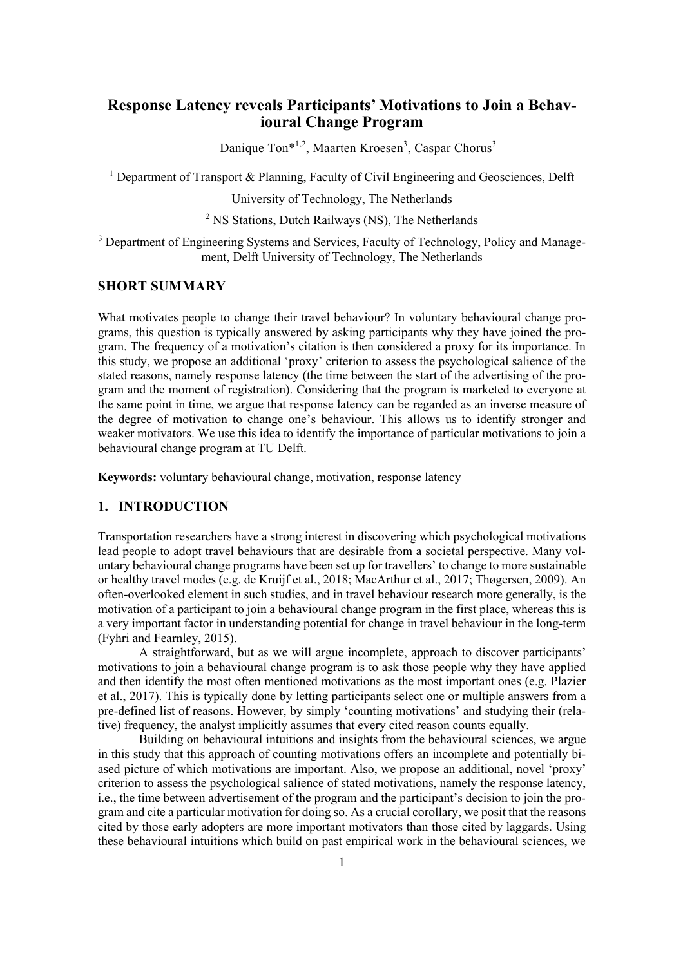# **Response Latency reveals Participants' Motivations to Join a Behavioural Change Program**

Danique Ton\*<sup>1,2</sup>, Maarten Kroesen<sup>3</sup>, Caspar Chorus<sup>3</sup>

<sup>1</sup> Department of Transport & Planning, Faculty of Civil Engineering and Geosciences, Delft

University of Technology, The Netherlands

<sup>2</sup> NS Stations, Dutch Railways (NS), The Netherlands

<sup>3</sup> Department of Engineering Systems and Services, Faculty of Technology, Policy and Management, Delft University of Technology, The Netherlands

### **SHORT SUMMARY**

What motivates people to change their travel behaviour? In voluntary behavioural change programs, this question is typically answered by asking participants why they have joined the program. The frequency of a motivation's citation is then considered a proxy for its importance. In this study, we propose an additional 'proxy' criterion to assess the psychological salience of the stated reasons, namely response latency (the time between the start of the advertising of the program and the moment of registration). Considering that the program is marketed to everyone at the same point in time, we argue that response latency can be regarded as an inverse measure of the degree of motivation to change one's behaviour. This allows us to identify stronger and weaker motivators. We use this idea to identify the importance of particular motivations to join a behavioural change program at TU Delft.

**Keywords:** voluntary behavioural change, motivation, response latency

#### **1. INTRODUCTION**

Transportation researchers have a strong interest in discovering which psychological motivations lead people to adopt travel behaviours that are desirable from a societal perspective. Many voluntary behavioural change programs have been set up for travellers' to change to more sustainable or healthy travel modes (e.g. de Kruijf et al., 2018; MacArthur et al., 2017; Thøgersen, 2009). An often-overlooked element in such studies, and in travel behaviour research more generally, is the motivation of a participant to join a behavioural change program in the first place, whereas this is a very important factor in understanding potential for change in travel behaviour in the long-term (Fyhri and Fearnley, 2015).

A straightforward, but as we will argue incomplete, approach to discover participants' motivations to join a behavioural change program is to ask those people why they have applied and then identify the most often mentioned motivations as the most important ones (e.g. Plazier et al., 2017). This is typically done by letting participants select one or multiple answers from a pre-defined list of reasons. However, by simply 'counting motivations' and studying their (relative) frequency, the analyst implicitly assumes that every cited reason counts equally.

Building on behavioural intuitions and insights from the behavioural sciences, we argue in this study that this approach of counting motivations offers an incomplete and potentially biased picture of which motivations are important. Also, we propose an additional, novel 'proxy' criterion to assess the psychological salience of stated motivations, namely the response latency, i.e., the time between advertisement of the program and the participant's decision to join the program and cite a particular motivation for doing so. As a crucial corollary, we posit that the reasons cited by those early adopters are more important motivators than those cited by laggards. Using these behavioural intuitions which build on past empirical work in the behavioural sciences, we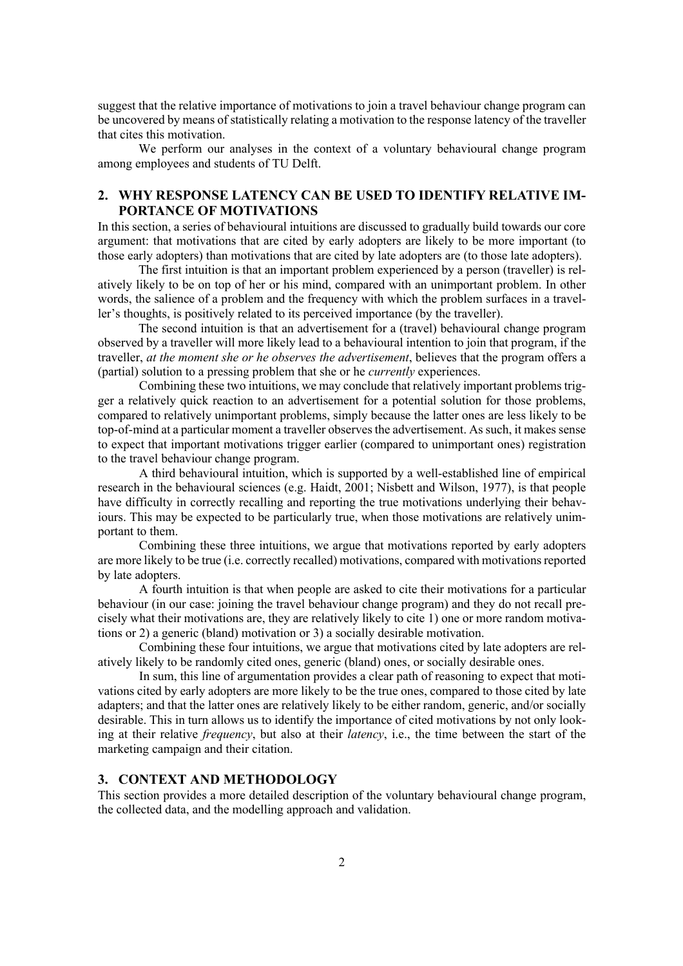suggest that the relative importance of motivations to join a travel behaviour change program can be uncovered by means of statistically relating a motivation to the response latency of the traveller that cites this motivation.

We perform our analyses in the context of a voluntary behavioural change program among employees and students of TU Delft.

## **2. WHY RESPONSE LATENCY CAN BE USED TO IDENTIFY RELATIVE IM-PORTANCE OF MOTIVATIONS**

In this section, a series of behavioural intuitions are discussed to gradually build towards our core argument: that motivations that are cited by early adopters are likely to be more important (to those early adopters) than motivations that are cited by late adopters are (to those late adopters).

The first intuition is that an important problem experienced by a person (traveller) is relatively likely to be on top of her or his mind, compared with an unimportant problem. In other words, the salience of a problem and the frequency with which the problem surfaces in a traveller's thoughts, is positively related to its perceived importance (by the traveller).

The second intuition is that an advertisement for a (travel) behavioural change program observed by a traveller will more likely lead to a behavioural intention to join that program, if the traveller, *at the moment she or he observes the advertisement*, believes that the program offers a (partial) solution to a pressing problem that she or he *currently* experiences.

Combining these two intuitions, we may conclude that relatively important problems trigger a relatively quick reaction to an advertisement for a potential solution for those problems, compared to relatively unimportant problems, simply because the latter ones are less likely to be top-of-mind at a particular moment a traveller observes the advertisement. As such, it makes sense to expect that important motivations trigger earlier (compared to unimportant ones) registration to the travel behaviour change program.

A third behavioural intuition, which is supported by a well-established line of empirical research in the behavioural sciences (e.g. Haidt, 2001; Nisbett and Wilson, 1977), is that people have difficulty in correctly recalling and reporting the true motivations underlying their behaviours. This may be expected to be particularly true, when those motivations are relatively unimportant to them.

Combining these three intuitions, we argue that motivations reported by early adopters are more likely to be true (i.e. correctly recalled) motivations, compared with motivations reported by late adopters.

A fourth intuition is that when people are asked to cite their motivations for a particular behaviour (in our case: joining the travel behaviour change program) and they do not recall precisely what their motivations are, they are relatively likely to cite 1) one or more random motivations or 2) a generic (bland) motivation or 3) a socially desirable motivation.

Combining these four intuitions, we argue that motivations cited by late adopters are relatively likely to be randomly cited ones, generic (bland) ones, or socially desirable ones.

In sum, this line of argumentation provides a clear path of reasoning to expect that motivations cited by early adopters are more likely to be the true ones, compared to those cited by late adapters; and that the latter ones are relatively likely to be either random, generic, and/or socially desirable. This in turn allows us to identify the importance of cited motivations by not only looking at their relative *frequency*, but also at their *latency*, i.e., the time between the start of the marketing campaign and their citation.

## **3. CONTEXT AND METHODOLOGY**

This section provides a more detailed description of the voluntary behavioural change program, the collected data, and the modelling approach and validation.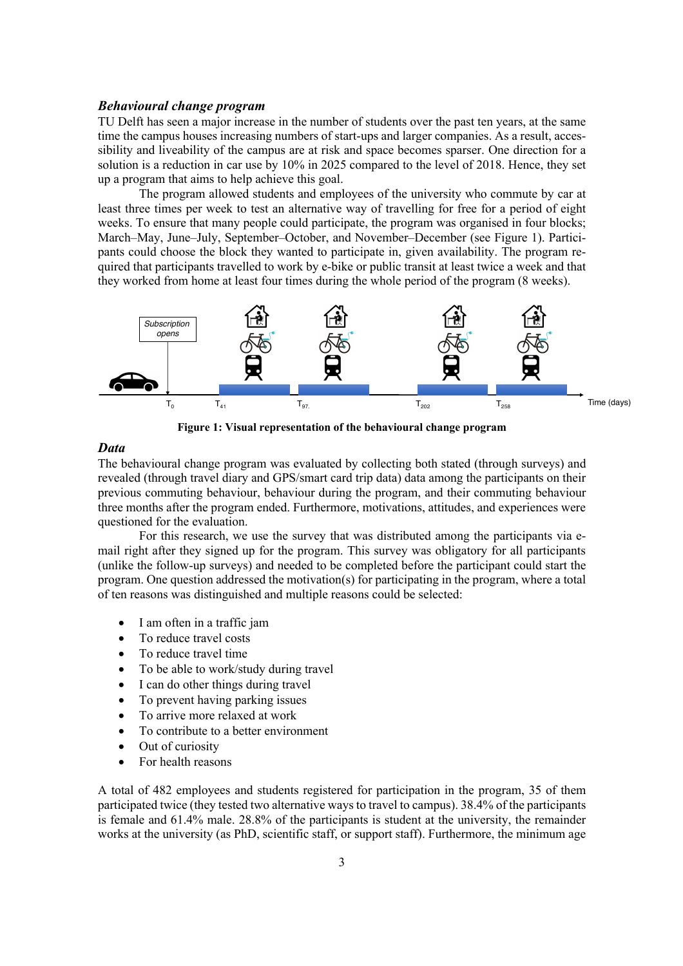#### *Behavioural change program*

TU Delft has seen a major increase in the number of students over the past ten years, at the same time the campus houses increasing numbers of start-ups and larger companies. As a result, accessibility and liveability of the campus are at risk and space becomes sparser. One direction for a solution is a reduction in car use by 10% in 2025 compared to the level of 2018. Hence, they set up a program that aims to help achieve this goal.

The program allowed students and employees of the university who commute by car at least three times per week to test an alternative way of travelling for free for a period of eight weeks. To ensure that many people could participate, the program was organised in four blocks; March–May, June–July, September–October, and November–December (see Figure 1). Participants could choose the block they wanted to participate in, given availability. The program required that participants travelled to work by e-bike or public transit at least twice a week and that they worked from home at least four times during the whole period of the program (8 weeks).



**Figure 1: Visual representation of the behavioural change program**

#### *Data*

The behavioural change program was evaluated by collecting both stated (through surveys) and revealed (through travel diary and GPS/smart card trip data) data among the participants on their previous commuting behaviour, behaviour during the program, and their commuting behaviour three months after the program ended. Furthermore, motivations, attitudes, and experiences were questioned for the evaluation.

For this research, we use the survey that was distributed among the participants via email right after they signed up for the program. This survey was obligatory for all participants (unlike the follow-up surveys) and needed to be completed before the participant could start the program. One question addressed the motivation(s) for participating in the program, where a total of ten reasons was distinguished and multiple reasons could be selected:

- I am often in a traffic jam
- To reduce travel costs
- To reduce travel time
- To be able to work/study during travel
- I can do other things during travel
- To prevent having parking issues
- To arrive more relaxed at work
- To contribute to a better environment
- Out of curiosity
- For health reasons

A total of 482 employees and students registered for participation in the program, 35 of them participated twice (they tested two alternative ways to travel to campus). 38.4% of the participants is female and 61.4% male. 28.8% of the participants is student at the university, the remainder works at the university (as PhD, scientific staff, or support staff). Furthermore, the minimum age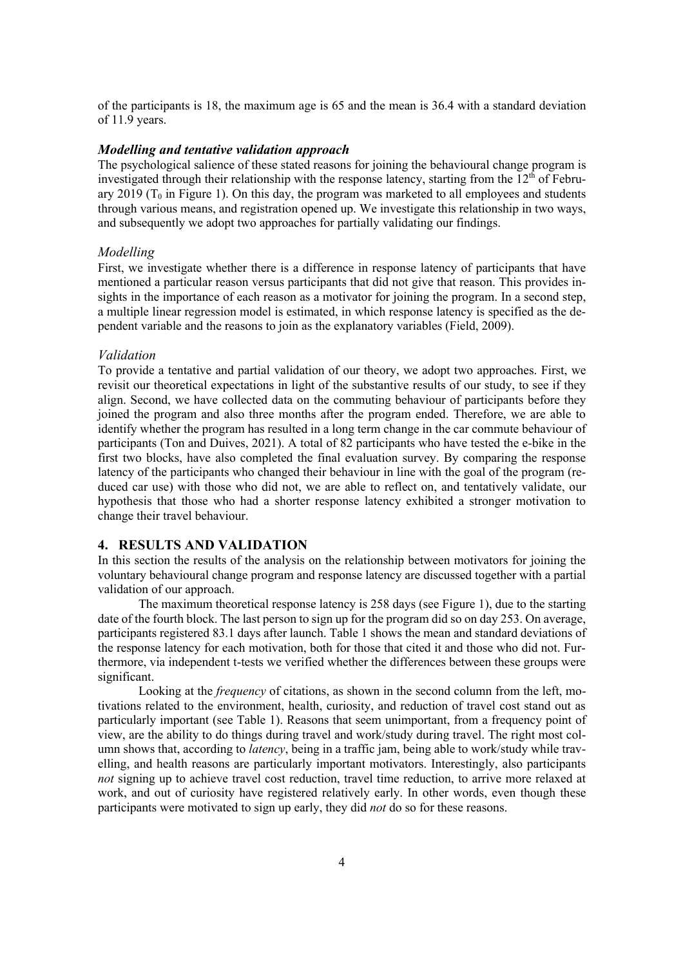of the participants is 18, the maximum age is 65 and the mean is 36.4 with a standard deviation of 11.9 years.

#### *Modelling and tentative validation approach*

The psychological salience of these stated reasons for joining the behavioural change program is investigated through their relationship with the response latency, starting from the  $12<sup>th</sup>$  of February 2019 ( $T_0$  in Figure 1). On this day, the program was marketed to all employees and students through various means, and registration opened up. We investigate this relationship in two ways, and subsequently we adopt two approaches for partially validating our findings.

#### *Modelling*

First, we investigate whether there is a difference in response latency of participants that have mentioned a particular reason versus participants that did not give that reason. This provides insights in the importance of each reason as a motivator for joining the program. In a second step, a multiple linear regression model is estimated, in which response latency is specified as the dependent variable and the reasons to join as the explanatory variables (Field, 2009).

#### *Validation*

To provide a tentative and partial validation of our theory, we adopt two approaches. First, we revisit our theoretical expectations in light of the substantive results of our study, to see if they align. Second, we have collected data on the commuting behaviour of participants before they joined the program and also three months after the program ended. Therefore, we are able to identify whether the program has resulted in a long term change in the car commute behaviour of participants (Ton and Duives, 2021). A total of 82 participants who have tested the e-bike in the first two blocks, have also completed the final evaluation survey. By comparing the response latency of the participants who changed their behaviour in line with the goal of the program (reduced car use) with those who did not, we are able to reflect on, and tentatively validate, our hypothesis that those who had a shorter response latency exhibited a stronger motivation to change their travel behaviour.

#### **4. RESULTS AND VALIDATION**

In this section the results of the analysis on the relationship between motivators for joining the voluntary behavioural change program and response latency are discussed together with a partial validation of our approach.

The maximum theoretical response latency is 258 days (see Figure 1), due to the starting date of the fourth block. The last person to sign up for the program did so on day 253. On average, participants registered 83.1 days after launch. Table 1 shows the mean and standard deviations of the response latency for each motivation, both for those that cited it and those who did not. Furthermore, via independent t-tests we verified whether the differences between these groups were significant.

Looking at the *frequency* of citations, as shown in the second column from the left, motivations related to the environment, health, curiosity, and reduction of travel cost stand out as particularly important (see Table 1). Reasons that seem unimportant, from a frequency point of view, are the ability to do things during travel and work/study during travel. The right most column shows that, according to *latency*, being in a traffic jam, being able to work/study while travelling, and health reasons are particularly important motivators. Interestingly, also participants *not* signing up to achieve travel cost reduction, travel time reduction, to arrive more relaxed at work, and out of curiosity have registered relatively early. In other words, even though these participants were motivated to sign up early, they did *not* do so for these reasons.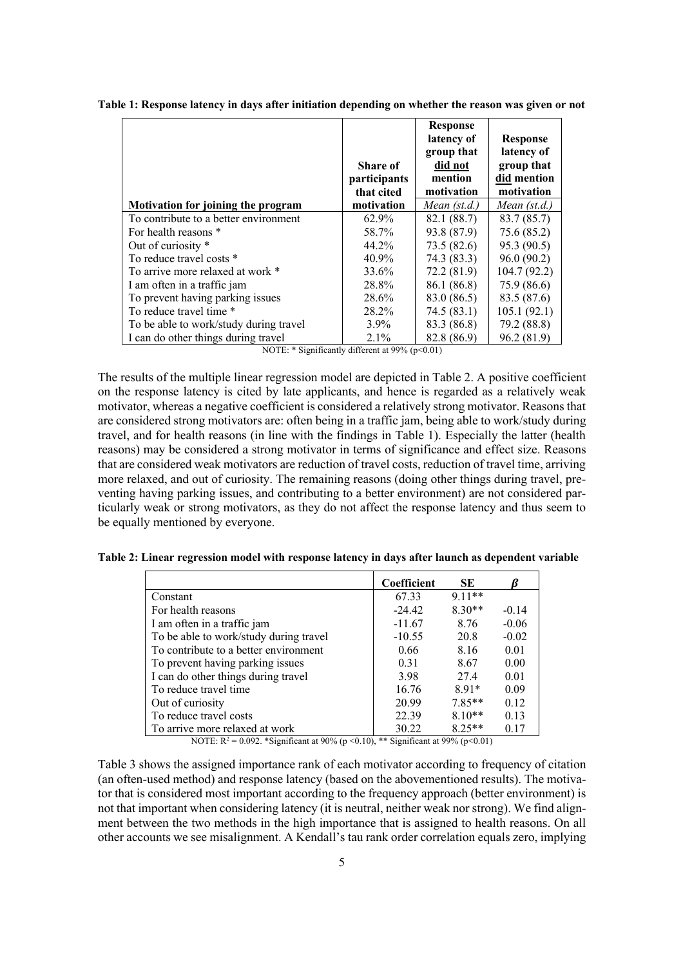|                                        | Share of<br>participants<br>that cited | <b>Response</b><br>latency of<br>group that<br>did not<br>mention<br>motivation | <b>Response</b><br>latency of<br>group that<br>did mention<br>motivation |
|----------------------------------------|----------------------------------------|---------------------------------------------------------------------------------|--------------------------------------------------------------------------|
| Motivation for joining the program     | motivation                             | Mean $(st.d.)$                                                                  | Mean $(st.d.)$                                                           |
| To contribute to a better environment  | 62.9%                                  | 82.1 (88.7)                                                                     | 83.7 (85.7)                                                              |
| For health reasons *                   | 58.7%                                  | 93.8 (87.9)                                                                     | 75.6(85.2)                                                               |
| Out of curiosity *                     | 44.2%                                  | 73.5(82.6)                                                                      | 95.3 (90.5)                                                              |
| To reduce travel costs *               | 40.9%                                  | 74.3 (83.3)                                                                     | 96.0(90.2)                                                               |
| To arrive more relaxed at work *       | 33.6%                                  | 72.2(81.9)                                                                      | 104.7 (92.2)                                                             |
| I am often in a traffic jam            | 28.8%                                  | 86.1 (86.8)                                                                     | 75.9 (86.6)                                                              |
| To prevent having parking issues       | 28.6%                                  | 83.0 (86.5)                                                                     | 83.5 (87.6)                                                              |
| To reduce travel time *                | 28.2%                                  | 74.5(83.1)                                                                      | 105.1(92.1)                                                              |
| To be able to work/study during travel | $3.9\%$                                | 83.3 (86.8)                                                                     | 79.2 (88.8)                                                              |
| I can do other things during travel    | $2.1\%$                                | 82.8 (86.9)                                                                     | 96.2 (81.9)                                                              |

**Table 1: Response latency in days after initiation depending on whether the reason was given or not** 

NOTE:  $*$  Significantly different at 99% (p<0.01)

The results of the multiple linear regression model are depicted in Table 2. A positive coefficient on the response latency is cited by late applicants, and hence is regarded as a relatively weak motivator, whereas a negative coefficient is considered a relatively strong motivator. Reasons that are considered strong motivators are: often being in a traffic jam, being able to work/study during travel, and for health reasons (in line with the findings in Table 1). Especially the latter (health reasons) may be considered a strong motivator in terms of significance and effect size. Reasons that are considered weak motivators are reduction of travel costs, reduction of travel time, arriving more relaxed, and out of curiosity. The remaining reasons (doing other things during travel, preventing having parking issues, and contributing to a better environment) are not considered particularly weak or strong motivators, as they do not affect the response latency and thus seem to be equally mentioned by everyone.

| Table 2: Linear regression model with response latency in days after launch as dependent variable |  |  |  |  |
|---------------------------------------------------------------------------------------------------|--|--|--|--|
|---------------------------------------------------------------------------------------------------|--|--|--|--|

|                                                 | Coefficient | SE.      |         |
|-------------------------------------------------|-------------|----------|---------|
| Constant                                        | 67.33       | $9.11**$ |         |
| For health reasons                              | $-24.42$    | $8.30**$ | $-0.14$ |
| I am often in a traffic jam                     | $-11.67$    | 8.76     | $-0.06$ |
| To be able to work/study during travel          | $-10.55$    | 20.8     | $-0.02$ |
| To contribute to a better environment           | 0.66        | 8.16     | 0.01    |
| To prevent having parking issues                | 0.31        | 8.67     | 0.00    |
| I can do other things during travel             | 3.98        | 27.4     | 0.01    |
| To reduce travel time                           | 16.76       | $8.91*$  | 0.09    |
| Out of curiosity                                | 20.99       | $7.85**$ | 0.12    |
| To reduce travel costs                          | 22.39       | $8.10**$ | 0.13    |
| To arrive more relaxed at work<br>$\frac{1}{2}$ | 30.22       | $8.25**$ | 0.17    |

NOTE:  $R^2 = 0.092$ . \*Significant at 90% (p < 0.10), \*\* Significant at 99% (p < 0.01)

Table 3 shows the assigned importance rank of each motivator according to frequency of citation (an often-used method) and response latency (based on the abovementioned results). The motivator that is considered most important according to the frequency approach (better environment) is not that important when considering latency (it is neutral, neither weak nor strong). We find alignment between the two methods in the high importance that is assigned to health reasons. On all other accounts we see misalignment. A Kendall's tau rank order correlation equals zero, implying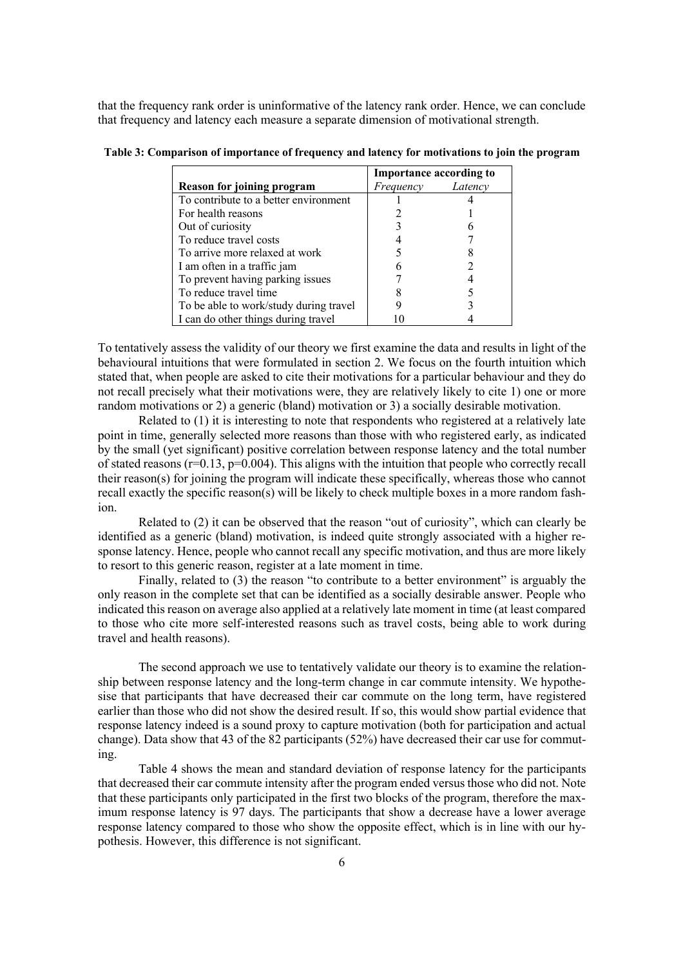that the frequency rank order is uninformative of the latency rank order. Hence, we can conclude that frequency and latency each measure a separate dimension of motivational strength.

|                                        | <b>Importance according to</b> |         |  |
|----------------------------------------|--------------------------------|---------|--|
| <b>Reason for joining program</b>      | Frequency                      | Latency |  |
| To contribute to a better environment  |                                |         |  |
| For health reasons                     |                                |         |  |
| Out of curiosity                       |                                |         |  |
| To reduce travel costs                 |                                |         |  |
| To arrive more relaxed at work         |                                |         |  |
| I am often in a traffic jam            |                                |         |  |
| To prevent having parking issues       |                                |         |  |
| To reduce travel time                  |                                |         |  |
| To be able to work/study during travel |                                |         |  |
| I can do other things during travel    |                                |         |  |

**Table 3: Comparison of importance of frequency and latency for motivations to join the program**

To tentatively assess the validity of our theory we first examine the data and results in light of the behavioural intuitions that were formulated in section 2. We focus on the fourth intuition which stated that, when people are asked to cite their motivations for a particular behaviour and they do not recall precisely what their motivations were, they are relatively likely to cite 1) one or more random motivations or 2) a generic (bland) motivation or 3) a socially desirable motivation.

Related to (1) it is interesting to note that respondents who registered at a relatively late point in time, generally selected more reasons than those with who registered early, as indicated by the small (yet significant) positive correlation between response latency and the total number of stated reasons (r=0.13, p=0.004). This aligns with the intuition that people who correctly recall their reason(s) for joining the program will indicate these specifically, whereas those who cannot recall exactly the specific reason(s) will be likely to check multiple boxes in a more random fashion.

Related to (2) it can be observed that the reason "out of curiosity", which can clearly be identified as a generic (bland) motivation, is indeed quite strongly associated with a higher response latency. Hence, people who cannot recall any specific motivation, and thus are more likely to resort to this generic reason, register at a late moment in time.

Finally, related to (3) the reason "to contribute to a better environment" is arguably the only reason in the complete set that can be identified as a socially desirable answer. People who indicated this reason on average also applied at a relatively late moment in time (at least compared to those who cite more self-interested reasons such as travel costs, being able to work during travel and health reasons).

The second approach we use to tentatively validate our theory is to examine the relationship between response latency and the long-term change in car commute intensity. We hypothesise that participants that have decreased their car commute on the long term, have registered earlier than those who did not show the desired result. If so, this would show partial evidence that response latency indeed is a sound proxy to capture motivation (both for participation and actual change). Data show that 43 of the 82 participants (52%) have decreased their car use for commuting.

Table 4 shows the mean and standard deviation of response latency for the participants that decreased their car commute intensity after the program ended versus those who did not. Note that these participants only participated in the first two blocks of the program, therefore the maximum response latency is 97 days. The participants that show a decrease have a lower average response latency compared to those who show the opposite effect, which is in line with our hypothesis. However, this difference is not significant.